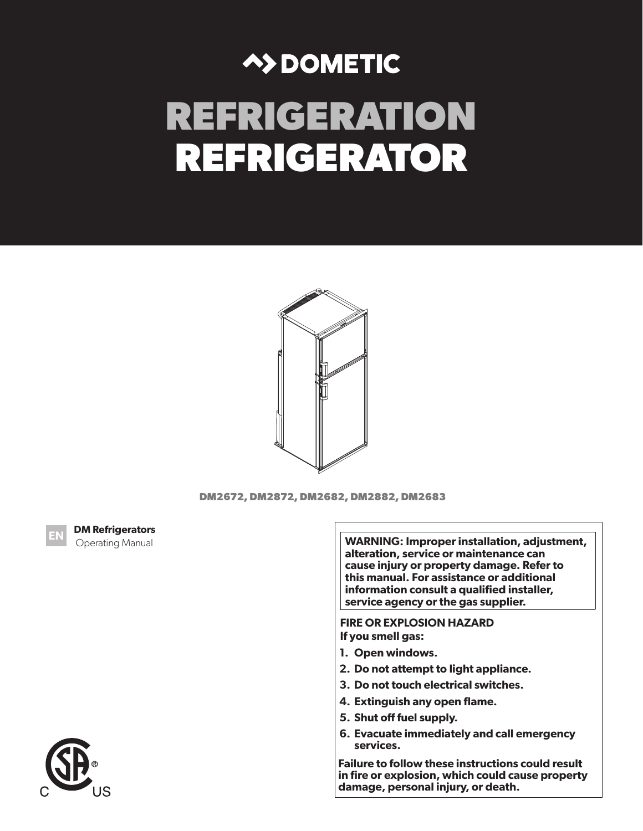# **A>DOMETIC REFRIGERATION REFRIGERATOR**





**WARNING: Improper installation, adjustment, alteration, service or maintenance can cause injury or property damage. Refer to this manual. For assistance or additional information consult a qualified installer, service agency or the gas supplier.** 

**FIRE OR EXPLOSION HAZARD If you smell gas:**

- **1. Open windows.**
- **2. Do not attempt to light appliance.**
- **3. Do not touch electrical switches.**
- **4. Extinguish any open flame.**
- **5. Shut off fuel supply.**
- **6. Evacuate immediately and call emergency services.**

**Failure to follow these instructions could result in fire or explosion, which could cause property damage, personal injury, or death.**



**EN DM Refrigerators Derating Manual** 

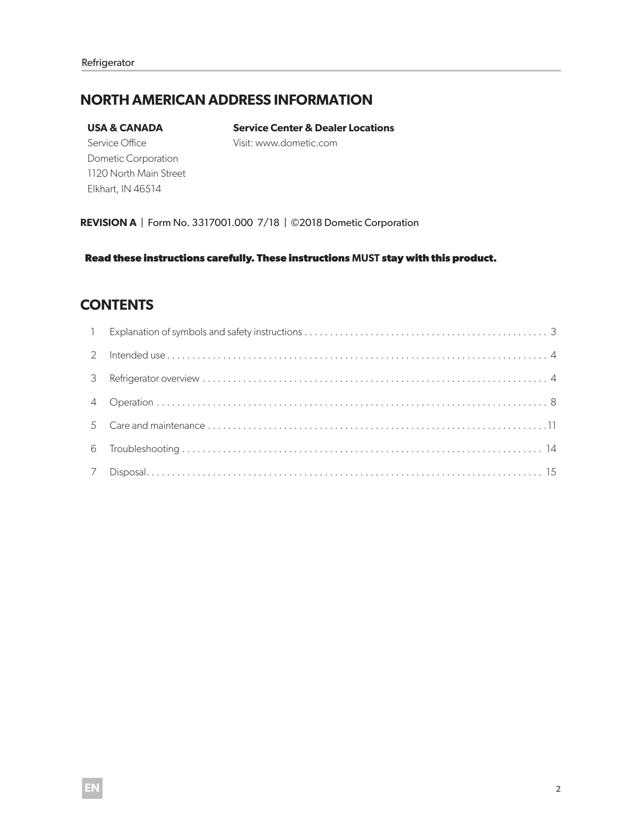### **NORTH AMERICAN ADDRESS INFORMATION**

#### **USA & CANADA**

**Service Center & Dealer Locations**  Visit: www.dometic.com

Service Office Dometic Corporation 1120 North Main Street Elkhart, IN 46514

**REVISION A** | Form No. 3317001.000 7/18 | ©2018 Dometic Corporation

**Read these instructions carefully. These instructions MUST stay with this product.**

### **CONTENTS**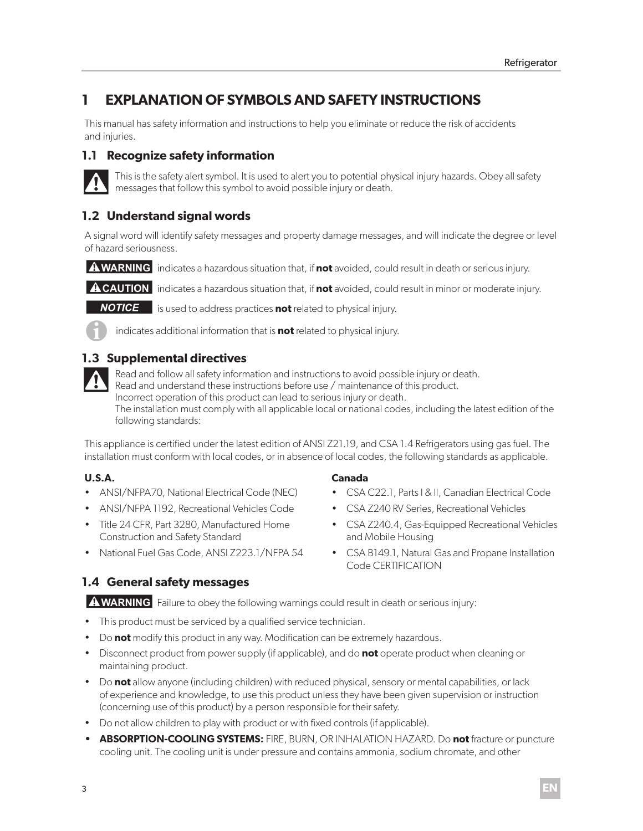## **1 EXPLANATION OF SYMBOLS AND SAFETY INSTRUCTIONS**

This manual has safety information and instructions to help you eliminate or reduce the risk of accidents and injuries.

### **1.1 Recognize safety information**



This is the safety alert symbol. It is used to alert you to potential physical injury hazards. Obey all safety messages that follow this symbol to avoid possible injury or death.

### **1.2 Understand signal words**

A signal word will identify safety messages and property damage messages, and will indicate the degree or level of hazard seriousness.

**A WARNING** indicates a hazardous situation that, if **not** avoided, could result in death or serious injury.

**A CAUTION** indicates a hazardous situation that, if **not** avoided, could result in minor or moderate injury.

**NOTICE** is used to address practices **not** related to physical injury.



indicates additional information that is **not** related to physical injury.

### **1.3 Supplemental directives**

Read and follow all safety information and instructions to avoid possible injury or death. Read and understand these instructions before use / maintenance of this product. Incorrect operation of this product can lead to serious injury or death. The installation must comply with all applicable local or national codes, including the latest edition of the following standards:

This appliance is certified under the latest edition of ANSI Z21.19, and CSA 1.4 Refrigerators using gas fuel. The installation must conform with local codes, or in absence of local codes, the following standards as applicable.

### **U.S.A.**

- ANSI/NFPA70, National Electrical Code (NEC)
- ANSI/NFPA 1192, Recreational Vehicles Code
- Title 24 CFR, Part 3280, Manufactured Home Construction and Safety Standard
- National Fuel Gas Code, ANSI Z223.1/NFPA 54

### **1.4 General safety messages**

**A WARNING** Failure to obey the following warnings could result in death or serious injury:

- This product must be serviced by a qualified service technician.
- Do **not** modify this product in any way. Modification can be extremely hazardous.
- Disconnect product from power supply (if applicable), and do **not** operate product when cleaning or maintaining product.
- Do **not** allow anyone (including children) with reduced physical, sensory or mental capabilities, or lack of experience and knowledge, to use this product unless they have been given supervision or instruction (concerning use of this product) by a person responsible for their safety.
- Do not allow children to play with product or with fixed controls (if applicable).
- **• ABSORPTION-COOLING SYSTEMS:** FIRE, BURN, OR INHALATION HAZARD. Do **not** fracture or puncture cooling unit. The cooling unit is under pressure and contains ammonia, sodium chromate, and other

### **Canada**

- CSA C22.1, Parts l & ll, Canadian Electrical Code
- CSA Z240 RV Series, Recreational Vehicles
- CSA Z240.4, Gas-Equipped Recreational Vehicles and Mobile Housing
- CSA B149.1, Natural Gas and Propane Installation Code CERTIFICATION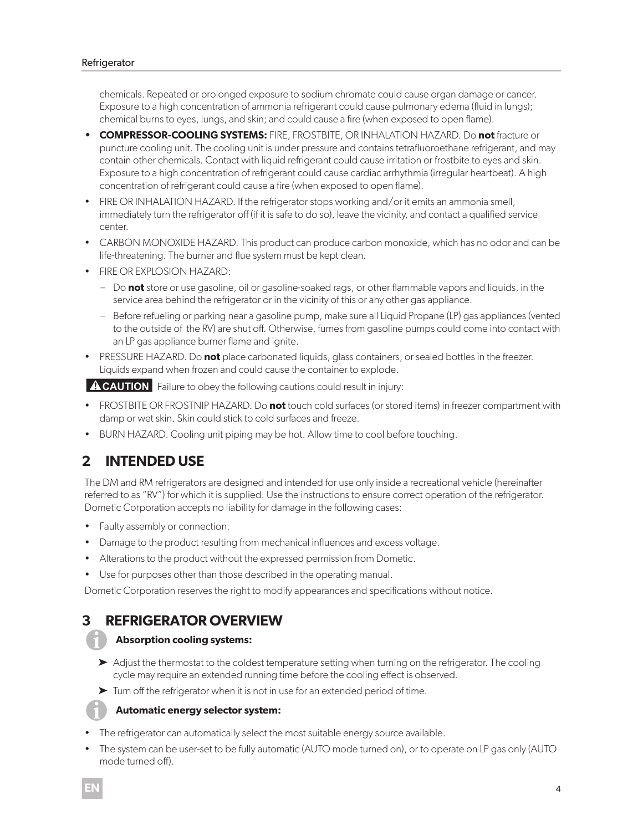chemicals. Repeated or prolonged exposure to sodium chromate could cause organ damage or cancer. Exposure to a high concentration of ammonia refrigerant could cause pulmonary edema (fluid in lungs); chemical burns to eyes, lungs, and skin; and could cause a fire (when exposed to open flame).

- **• COMPRESSOR-COOLING SYSTEMS:** FIRE, FROSTBITE, OR INHALATION HAZARD. Do **not** fracture or puncture cooling unit. The cooling unit is under pressure and contains tetrafluoroethane refrigerant, and may contain other chemicals. Contact with liquid refrigerant could cause irritation or frostbite to eyes and skin. Exposure to a high concentration of refrigerant could cause cardiac arrhythmia (irregular heartbeat). A high concentration of refrigerant could cause a fire (when exposed to open flame).
- FIRE OR INHALATION HAZARD. If the refrigerator stops working and/or it emits an ammonia smell, immediately turn the refrigerator off (if it is safe to do so), leave the vicinity, and contact a qualified service center.
- CARBON MONOXIDE HAZARD. This product can produce carbon monoxide, which has no odor and can be life-threatening. The burner and flue system must be kept clean.
- FIRE OR EXPLOSION HAZARD:
	- Do **not** store or use gasoline, oil or gasoline-soaked rags, or other flammable vapors and liquids, in the service area behind the refrigerator or in the vicinity of this or any other gas appliance.
	- Before refueling or parking near a gasoline pump, make sure all Liquid Propane (LP) gas appliances (vented to the outside of the RV) are shut off. Otherwise, fumes from gasoline pumps could come into contact with an LP gas appliance burner flame and ignite.
- PRESSURE HAZARD. Do **not** place carbonated liquids, glass containers, or sealed bottles in the freezer. Liquids expand when frozen and could cause the container to explode.

**A CAUTION** Failure to obey the following cautions could result in injury:

- FROSTBITE OR FROSTNIP HAZARD. Do **not** touch cold surfaces (or stored items) in freezer compartment with damp or wet skin. Skin could stick to cold surfaces and freeze.
- BURN HAZARD. Cooling unit piping may be hot. Allow time to cool before touching.

### **2 INTENDED USE**

The DM and RM refrigerators are designed and intended for use only inside a recreational vehicle (hereinafter referred to as "RV") for which it is supplied. Use the instructions to ensure correct operation of the refrigerator. Dometic Corporation accepts no liability for damage in the following cases:

- Faulty assembly or connection.
- Damage to the product resulting from mechanical influences and excess voltage.
- Alterations to the product without the expressed permission from Dometic.
- Use for purposes other than those described in the operating manual.

Dometic Corporation reserves the right to modify appearances and specifications without notice.

### **3 REFRIGERATOR OVERVIEW**

### I**Absorption cooling systems:**

- ➤ Adjust the thermostat to the coldest temperature setting when turning on the refrigerator. The cooling cycle may require an extended running time before the cooling effect is observed.
- ➤ Turn off the refrigerator when it is not in use for an extended period of time.

### I**Automatic energy selector system:**

- The refrigerator can automatically select the most suitable energy source available.
- The system can be user-set to be fully automatic (AUTO mode turned on), or to operate on LP gas only (AUTO mode turned off).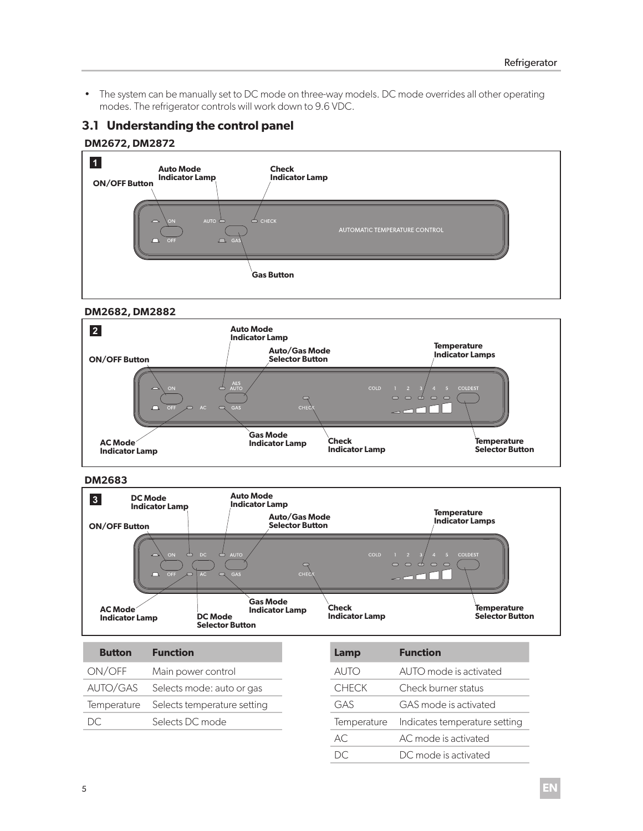• The system can be manually set to DC mode on three-way models. DC mode overrides all other operating modes. The refrigerator controls will work down to 9.6 VDC.

### **3.1 Understanding the control panel**

### **DM2672, DM2872**



### **DM2682, DM2882**



#### **DM2683**



| .                     | 12011 C. II O II I                      |
|-----------------------|-----------------------------------------|
| ON/OFF                | Main power control                      |
|                       | AUTO/GAS Selects mode: auto or gas      |
|                       | Temperature Selects temperature setting |
| $1$ )( $\overline{1}$ | Selects DC mode                         |

| Lamp         | <b>Function</b>               |
|--------------|-------------------------------|
| auto         | AUTO mode is activated        |
| <b>CHECK</b> | Check burner status           |
| GAS          | GAS mode is activated         |
| Temperature  | Indicates temperature setting |
| AC.          | AC mode is activated          |
|              | DC mode is activated          |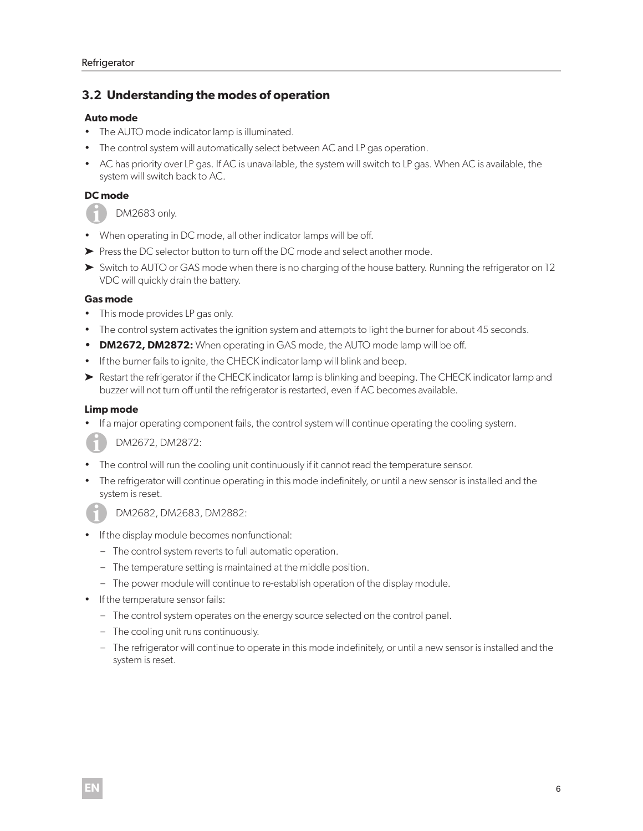### **3.2 Understanding the modes of operation**

### **Auto mode**

- The AUTO mode indicator lamp is illuminated.
- The control system will automatically select between AC and LP gas operation.
- AC has priority over LP gas. If AC is unavailable, the system will switch to LP gas. When AC is available, the system will switch back to AC.

### **DC mode**

DM2683 only.

- When operating in DC mode, all other indicator lamps will be off.
- ➤ Press the DC selector button to turn off the DC mode and select another mode.
- ➤ Switch to AUTO or GAS mode when there is no charging of the house battery. Running the refrigerator on 12 VDC will quickly drain the battery.

### **Gas mode**

- This mode provides LP gas only.
- The control system activates the ignition system and attempts to light the burner for about 45 seconds.
- **• DM2672, DM2872:** When operating in GAS mode, the AUTO mode lamp will be off.
- If the burner fails to ignite, the CHECK indicator lamp will blink and beep.
- ➤ Restart the refrigerator if the CHECK indicator lamp is blinking and beeping. The CHECK indicator lamp and buzzer will not turn off until the refrigerator is restarted, even if AC becomes available.

### **Limp mode**

• If a major operating component fails, the control system will continue operating the cooling system.

IDM2672, DM2872:

- The control will run the cooling unit continuously if it cannot read the temperature sensor.
- The refrigerator will continue operating in this mode indefinitely, or until a new sensor is installed and the system is reset.

IDM2682, DM2683, DM2882:

- If the display module becomes nonfunctional:
	- The control system reverts to full automatic operation.
	- The temperature setting is maintained at the middle position.
	- The power module will continue to re-establish operation of the display module.
- If the temperature sensor fails:
	- The control system operates on the energy source selected on the control panel.
	- The cooling unit runs continuously.
	- The refrigerator will continue to operate in this mode indefinitely, or until a new sensor is installed and the system is reset.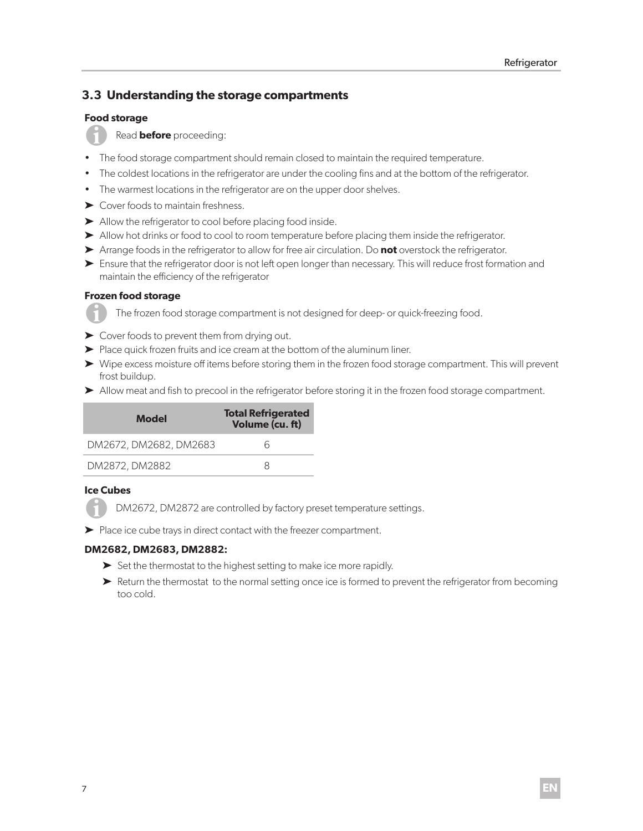### **3.3 Understanding the storage compartments**

### **Food storage**



Read **before** proceeding:

- The food storage compartment should remain closed to maintain the required temperature.
- The coldest locations in the refrigerator are under the cooling fins and at the bottom of the refrigerator.
- The warmest locations in the refrigerator are on the upper door shelves.
- ➤ Cover foods to maintain freshness.
- ➤ Allow the refrigerator to cool before placing food inside.
- ➤ Allow hot drinks or food to cool to room temperature before placing them inside the refrigerator.
- ➤ Arrange foods in the refrigerator to allow for free air circulation. Do **not** overstock the refrigerator.
- ► Ensure that the refrigerator door is not left open longer than necessary. This will reduce frost formation and maintain the efficiency of the refrigerator

### **Frozen food storage**

The frozen food storage compartment is not designed for deep- or quick-freezing food.

- ➤ Cover foods to prevent them from drying out.
- ➤ Place quick frozen fruits and ice cream at the bottom of the aluminum liner.
- ➤ Wipe excess moisture off items before storing them in the frozen food storage compartment. This will prevent frost buildup.
- ➤ Allow meat and fish to precool in the refrigerator before storing it in the frozen food storage compartment.

| Model                  | <b>Total Refrigerated</b><br>Volume (cu. ft) |
|------------------------|----------------------------------------------|
| DM2672, DM2682, DM2683 | h                                            |
| DM2872, DM2882         |                                              |

### **Ice Cubes**

DM2672, DM2872 are controlled by factory preset temperature settings.

➤ Place ice cube trays in direct contact with the freezer compartment.

### **DM2682, DM2683, DM2882:**

- ➤ Set the thermostat to the highest setting to make ice more rapidly.
- ► Return the thermostat to the normal setting once ice is formed to prevent the refrigerator from becoming too cold.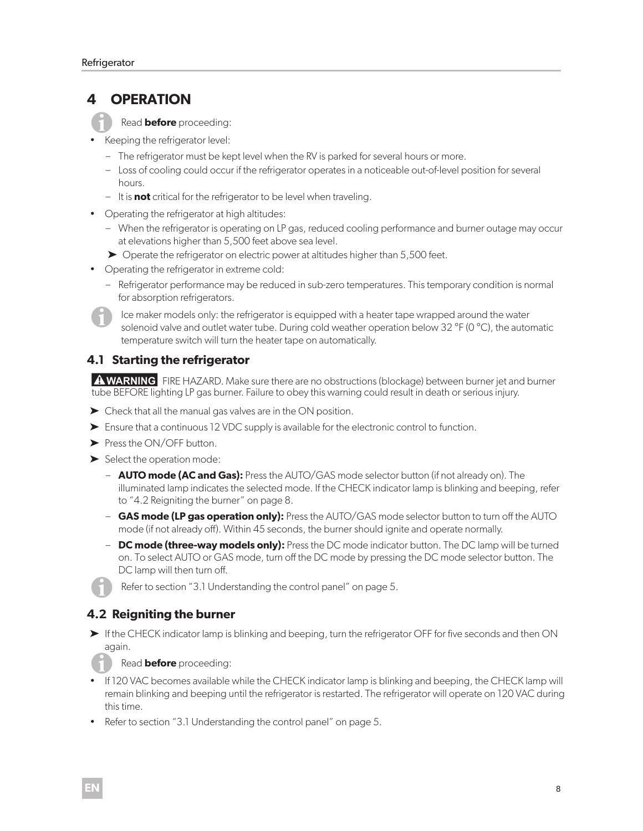### **4 OPERATION**

IRead **before** proceeding:

- Keeping the refrigerator level:
	- The refrigerator must be kept level when the RV is parked for several hours or more.
	- Loss of cooling could occur if the refrigerator operates in a noticeable out-of-level position for several hours.
	- It is **not** critical for the refrigerator to be level when traveling.
- Operating the refrigerator at high altitudes:
	- When the refrigerator is operating on LP gas, reduced cooling performance and burner outage may occur at elevations higher than 5,500 feet above sea level.
	- ➤ Operate the refrigerator on electric power at altitudes higher than 5,500 feet.
- Operating the refrigerator in extreme cold:
	- Refrigerator performance may be reduced in sub-zero temperatures. This temporary condition is normal for absorption refrigerators.

Ice maker models only: the refrigerator is equipped with a heater tape wrapped around the water solenoid valve and outlet water tube. During cold weather operation below 32 °F (0 °C), the automatic temperature switch will turn the heater tape on automatically.

### **4.1 Starting the refrigerator**

**AWARNING** FIRE HAZARD. Make sure there are no obstructions (blockage) between burner jet and burner tube BEFORE lighting LP gas burner. Failure to obey this warning could result in death or serious injury.

- ➤ Check that all the manual gas valves are in the ON position.
- ➤ Ensure that a continuous 12 VDC supply is available for the electronic control to function.
- ➤ Press the ON/OFF button.
- ➤ Select the operation mode:
	- **AUTO mode (AC and Gas):** Press the AUTO/GAS mode selector button (if not already on). The illuminated lamp indicates the selected mode. If the CHECK indicator lamp is blinking and beeping, refer to "4.2 Reigniting the burner" on page 8.
	- **GAS mode (LP gas operation only):** Press the AUTO/GAS mode selector button to turn off the AUTO mode (if not already off). Within 45 seconds, the burner should ignite and operate normally.
	- **DC mode (three-way models only):** Press the DC mode indicator button. The DC lamp will be turned on. To select AUTO or GAS mode, turn off the DC mode by pressing the DC mode selector button. The DC lamp will then turn off.
	- Refer to section "3.1 Understanding the control panel" on page 5.

### **4.2 Reigniting the burner**

➤ If the CHECK indicator lamp is blinking and beeping, turn the refrigerator OFF for five seconds and then ON again.

### Read **before** proceeding:

- If 120 VAC becomes available while the CHECK indicator lamp is blinking and beeping, the CHECK lamp will remain blinking and beeping until the refrigerator is restarted. The refrigerator will operate on 120 VAC during this time.
- Refer to section "3.1 Understanding the control panel" on page 5.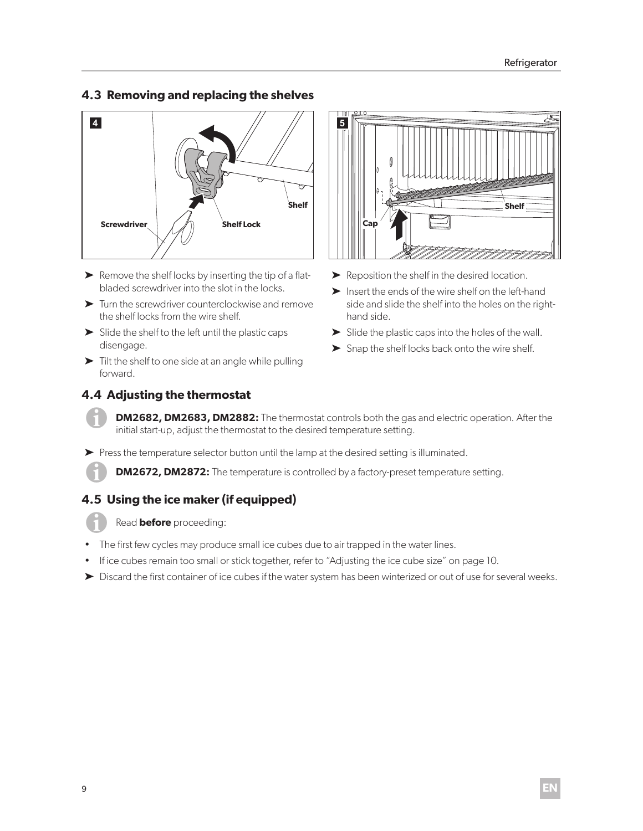### **4.3 Removing and replacing the shelves**



- ► Remove the shelf locks by inserting the tip of a flatbladed screwdriver into the slot in the locks.
- ➤ Turn the screwdriver counterclockwise and remove the shelf locks from the wire shelf.
- $\blacktriangleright$  Slide the shelf to the left until the plastic caps disengage.
- ➤ Tilt the shelf to one side at an angle while pulling forward.

### **4.4 Adjusting the thermostat**



- ➤ Reposition the shelf in the desired location.
- ➤ Insert the ends of the wire shelf on the left-hand side and slide the shelf into the holes on the righthand side.
- ➤ Slide the plastic caps into the holes of the wall.
- ➤ Snap the shelf locks back onto the wire shelf.

**DM2682, DM2683, DM2882:** The thermostat controls both the gas and electric operation. After the initial start-up, adjust the thermostat to the desired temperature setting.

➤ Press the temperature selector button until the lamp at the desired setting is illuminated.

**DM2672, DM2872:** The temperature is controlled by a factory-preset temperature setting.

### **4.5 Using the ice maker (if equipped)**

Read **before** proceeding:

- The first few cycles may produce small ice cubes due to air trapped in the water lines.
- If ice cubes remain too small or stick together, refer to "Adjusting the ice cube size" on page 10.
- ➤ Discard the first container of ice cubes if the water system has been winterized or out of use for several weeks.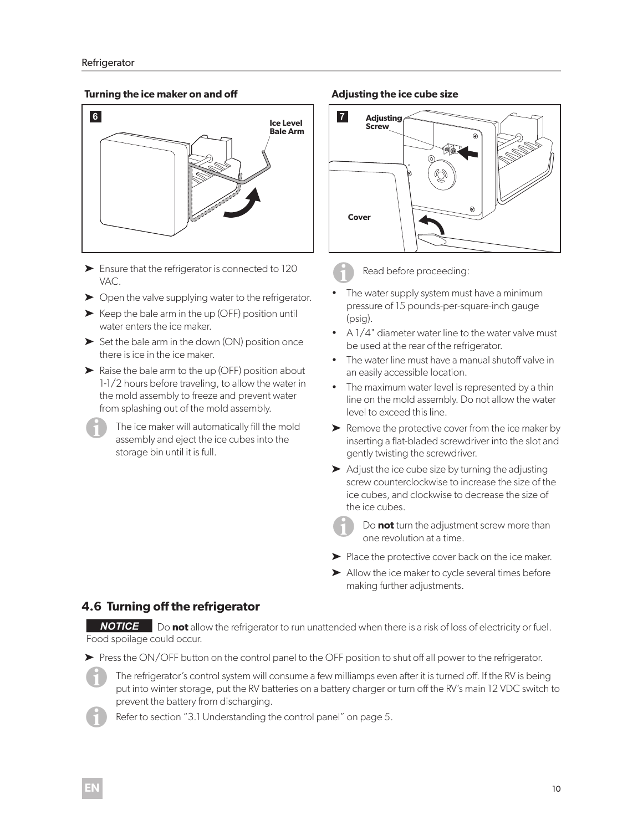### **Turning the ice maker on and off**



- ➤ Ensure that the refrigerator is connected to 120 VAC.
- ➤ Open the valve supplying water to the refrigerator.
- ➤ Keep the bale arm in the up (OFF) position until water enters the ice maker.
- ► Set the bale arm in the down (ON) position once there is ice in the ice maker.
- ➤ Raise the bale arm to the up (OFF) position about 1-1/2 hours before traveling, to allow the water in the mold assembly to freeze and prevent water from splashing out of the mold assembly.
	- The ice maker will automatically fill the mold assembly and eject the ice cubes into the storage bin until it is full.

#### **Adjusting the ice cube size**





### Read before proceeding:

- The water supply system must have a minimum pressure of 15 pounds-per-square-inch gauge (psig).
- A 1/4" diameter water line to the water valve must be used at the rear of the refrigerator.
- The water line must have a manual shutoff valve in an easily accessible location.
- The maximum water level is represented by a thin line on the mold assembly. Do not allow the water level to exceed this line.
- ➤ Remove the protective cover from the ice maker by inserting a flat-bladed screwdriver into the slot and gently twisting the screwdriver.
- ➤ Adjust the ice cube size by turning the adjusting screw counterclockwise to increase the size of the ice cubes, and clockwise to decrease the size of the ice cubes.
	- Do **not** turn the adjustment screw more than one revolution at a time.
- ➤ Place the protective cover back on the ice maker.
- ➤ Allow the ice maker to cycle several times before making further adjustments.

### **4.6 Turning off the refrigerator**

**NOTICE** Do **not** allow the refrigerator to run unattended when there is a risk of loss of electricity or fuel. Food spoilage could occur.

▶ Press the ON/OFF button on the control panel to the OFF position to shut off all power to the refrigerator.



The refrigerator's control system will consume a few milliamps even after it is turned off. If the RV is being put into winter storage, put the RV batteries on a battery charger or turn off the RV's main 12 VDC switch to prevent the battery from discharging.

Refer to section "3.1 Understanding the control panel" on page 5.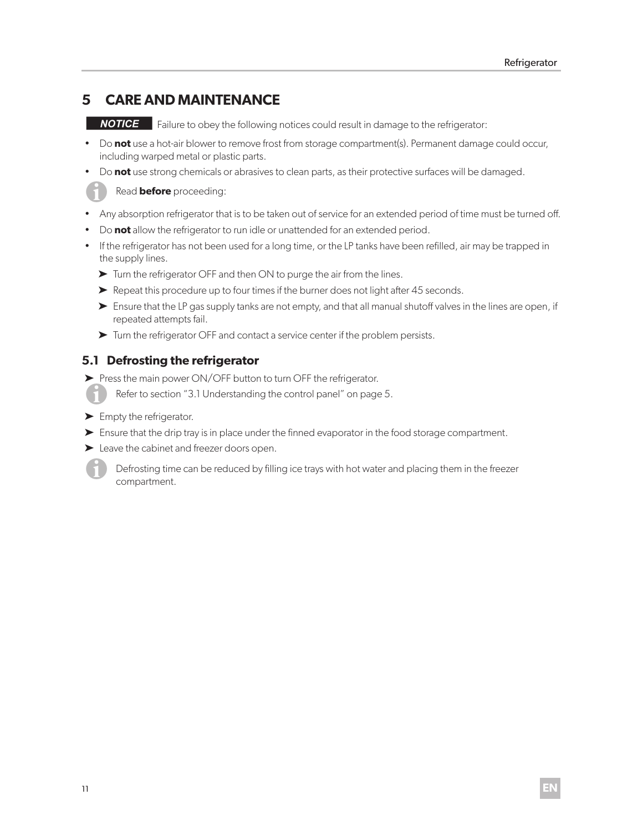#### **5 CARE AND MAINTENANCE**

**NOTICE** Failure to obey the following notices could result in damage to the refrigerator:

- Do **not** use a hot-air blower to remove frost from storage compartment(s). Permanent damage could occur, including warped metal or plastic parts.
- Do **not** use strong chemicals or abrasives to clean parts, as their protective surfaces will be damaged.

Read **before** proceeding:

- Any absorption refrigerator that is to be taken out of service for an extended period of time must be turned off.
- Do **not** allow the refrigerator to run idle or unattended for an extended period.
- If the refrigerator has not been used for a long time, or the LP tanks have been refilled, air may be trapped in the supply lines.
	- ➤ Turn the refrigerator OFF and then ON to purge the air from the lines.
	- ➤ Repeat this procedure up to four times if the burner does not light after 45 seconds.
	- ► Ensure that the LP gas supply tanks are not empty, and that all manual shutoff valves in the lines are open, if repeated attempts fail.
	- ➤ Turn the refrigerator OFF and contact a service center if the problem persists.

### **5.1 Defrosting the refrigerator**

- ▶ Press the main power ON/OFF button to turn OFF the refrigerator.
	- Refer to section "3.1 Understanding the control panel" on page 5.
- ► Empty the refrigerator.
- ➤ Ensure that the drip tray is in place under the finned evaporator in the food storage compartment.
- ➤ Leave the cabinet and freezer doors open.

Defrosting time can be reduced by filling ice trays with hot water and placing them in the freezer compartment.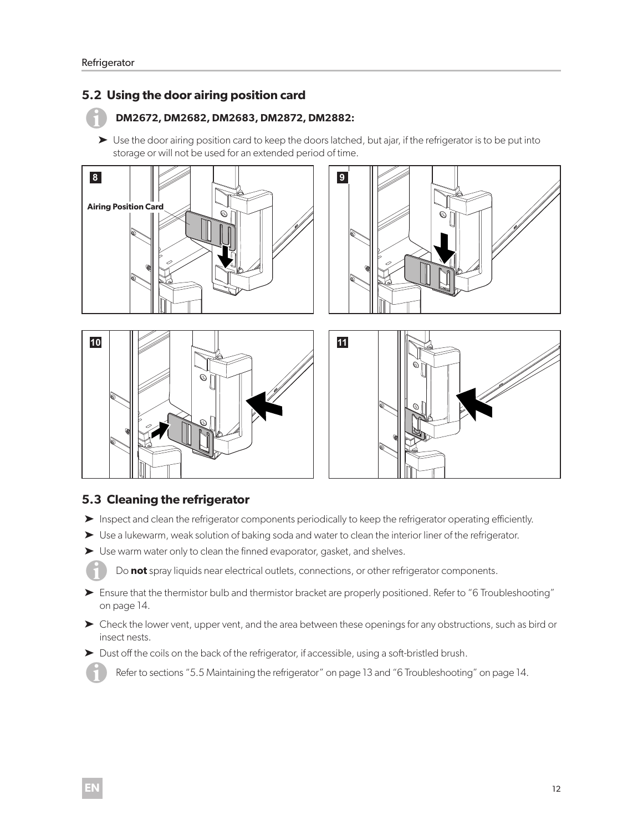### **5.2 Using the door airing position card**

### I**DM2672, DM2682, DM2683, DM2872, DM2882:**

► Use the door airing position card to keep the doors latched, but ajar, if the refrigerator is to be put into storage or will not be used for an extended period of time.







### **5.3 Cleaning the refrigerator**

- ➤ Inspect and clean the refrigerator components periodically to keep the refrigerator operating efficiently.
- ▶ Use a lukewarm, weak solution of baking soda and water to clean the interior liner of the refrigerator.
- ➤ Use warm water only to clean the finned evaporator, gasket, and shelves.

Do not spray liquids near electrical outlets, connections, or other refrigerator components.

- ➤ Ensure that the thermistor bulb and thermistor bracket are properly positioned. Refer to "6 Troubleshooting" on page 14.
- ➤ Check the lower vent, upper vent, and the area between these openings for any obstructions, such as bird or insect nests.
- ➤ Dust off the coils on the back of the refrigerator, if accessible, using a soft-bristled brush.

Refer to sections "5.5 Maintaining the refrigerator" on page 13 and "6 Troubleshooting" on page 14.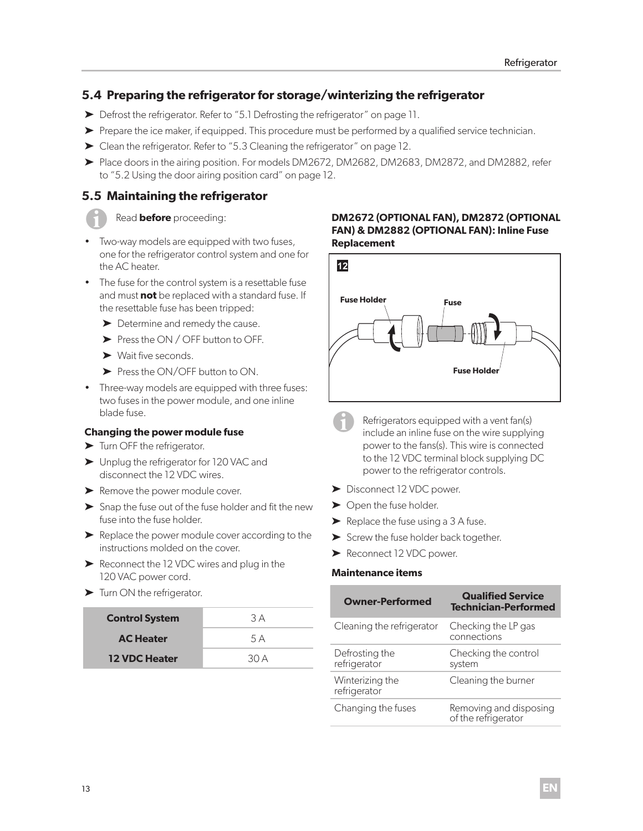### **5.4 Preparing the refrigerator for storage/winterizing the refrigerator**

- ➤ Defrost the refrigerator. Refer to "5.1 Defrosting the refrigerator" on page 11.
- ➤ Prepare the ice maker, if equipped. This procedure must be performed by a qualified service technician.
- ➤ Clean the refrigerator. Refer to "5.3 Cleaning the refrigerator" on page 12.
- ➤ Place doors in the airing position. For models DM2672, DM2682, DM2683, DM2872, and DM2882, refer to "5.2 Using the door airing position card" on page 12.

### **5.5 Maintaining the refrigerator**



### Read **before** proceeding:

- Two-way models are equipped with two fuses, one for the refrigerator control system and one for the AC heater.
- The fuse for the control system is a resettable fuse and must **not** be replaced with a standard fuse. If the resettable fuse has been tripped:
	- ▶ Determine and remedy the cause.
	- ➤ Press the ON / OFF button to OFF.
	- ➤ Wait five seconds.
	- ➤ Press the ON/OFF button to ON.
- Three-way models are equipped with three fuses: two fuses in the power module, and one inline blade fuse.

### **Changing the power module fuse**

- ▶ Turn OFF the refrigerator.
- ➤ Unplug the refrigerator for 120 VAC and disconnect the 12 VDC wires.
- ➤ Remove the power module cover.
- ➤ Snap the fuse out of the fuse holder and fit the new fuse into the fuse holder.
- ➤ Replace the power module cover according to the instructions molded on the cover.
- ➤ Reconnect the 12 VDC wires and plug in the 120 VAC power cord.
- ➤ Turn ON the refrigerator.

| <b>Control System</b> | 3 A |
|-----------------------|-----|
| <b>AC Heater</b>      | 5 A |
| <b>12 VDC Heater</b>  | 30A |

### **DM2672 (OPTIONAL FAN), DM2872 (OPTIONAL FAN) & DM2882 (OPTIONAL FAN): Inline Fuse Replacement**



- Refrigerators equipped with a vent fan(s) include an inline fuse on the wire supplying power to the fans(s). This wire is connected to the 12 VDC terminal block supplying DC power to the refrigerator controls.
- ➤ Disconnect 12 VDC power.
- ▶ Open the fuse holder.
- $\blacktriangleright$  Replace the fuse using a 3 A fuse.
- ► Screw the fuse holder back together.
- ➤ Reconnect 12 VDC power.

### **Maintenance items**

| <b>Owner-Performed</b>          | <b>Qualified Service</b><br><b>Technician-Performed</b> |
|---------------------------------|---------------------------------------------------------|
| Cleaning the refrigerator       | Checking the LP gas<br>connections                      |
| Defrosting the<br>refrigerator  | Checking the control<br>system                          |
| Winterizing the<br>refrigerator | Cleaning the burner                                     |
| Changing the fuses              | Removing and disposing<br>of the refrigerator           |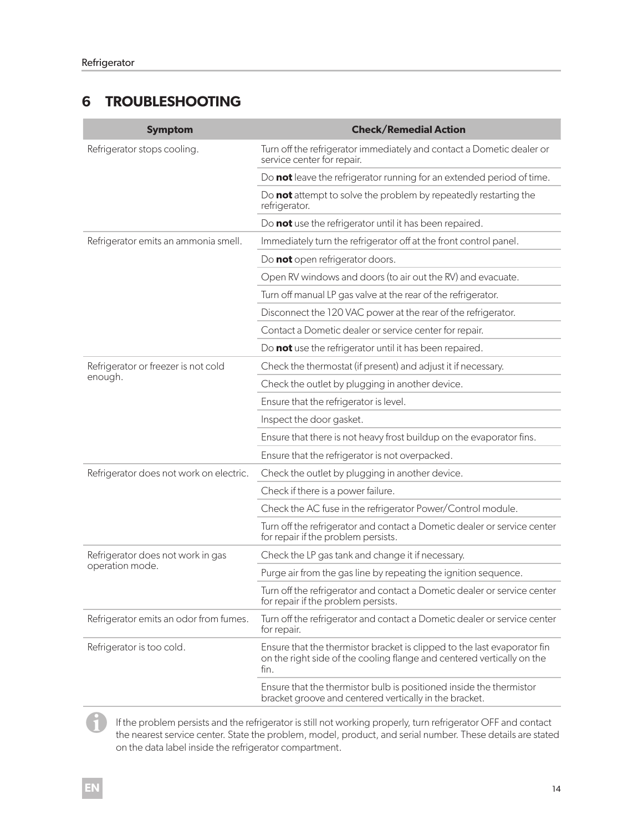### **6 TROUBLESHOOTING**

| <b>Symptom</b>                          | <b>Check/Remedial Action</b>                                                                                                                               |
|-----------------------------------------|------------------------------------------------------------------------------------------------------------------------------------------------------------|
| Refrigerator stops cooling.             | Turn off the refrigerator immediately and contact a Dometic dealer or<br>service center for repair.                                                        |
|                                         | Do not leave the refrigerator running for an extended period of time.                                                                                      |
|                                         | Do not attempt to solve the problem by repeatedly restarting the<br>refrigerator.                                                                          |
|                                         | Do not use the refrigerator until it has been repaired.                                                                                                    |
| Refrigerator emits an ammonia smell.    | Immediately turn the refrigerator off at the front control panel.                                                                                          |
|                                         | Do not open refrigerator doors.                                                                                                                            |
|                                         | Open RV windows and doors (to air out the RV) and evacuate.                                                                                                |
|                                         | Turn off manual LP gas valve at the rear of the refrigerator.                                                                                              |
|                                         | Disconnect the 120 VAC power at the rear of the refrigerator.                                                                                              |
|                                         | Contact a Dometic dealer or service center for repair.                                                                                                     |
|                                         | Do not use the refrigerator until it has been repaired.                                                                                                    |
| Refrigerator or freezer is not cold     | Check the thermostat (if present) and adjust it if necessary.                                                                                              |
| enough.                                 | Check the outlet by plugging in another device.                                                                                                            |
|                                         | Ensure that the refrigerator is level.                                                                                                                     |
|                                         | Inspect the door gasket.                                                                                                                                   |
|                                         | Ensure that there is not heavy frost buildup on the evaporator fins.                                                                                       |
|                                         | Ensure that the refrigerator is not overpacked.                                                                                                            |
| Refrigerator does not work on electric. | Check the outlet by plugging in another device.                                                                                                            |
|                                         | Check if there is a power failure.                                                                                                                         |
|                                         | Check the AC fuse in the refrigerator Power/Control module.                                                                                                |
|                                         | Turn off the refrigerator and contact a Dometic dealer or service center<br>for repair if the problem persists.                                            |
| Refrigerator does not work in gas       | Check the LP gas tank and change it if necessary.                                                                                                          |
| operation mode.                         | Purge air from the gas line by repeating the ignition sequence.                                                                                            |
|                                         | Turn off the refrigerator and contact a Dometic dealer or service center<br>for repair if the problem persists.                                            |
| Refrigerator emits an odor from fumes.  | Turn off the refrigerator and contact a Dometic dealer or service center<br>for repair.                                                                    |
| Refrigerator is too cold.               | Ensure that the thermistor bracket is clipped to the last evaporator fin<br>on the right side of the cooling flange and centered vertically on the<br>fin. |
|                                         | Ensure that the thermistor bulb is positioned inside the thermistor<br>bracket groove and centered vertically in the bracket.                              |

If the problem persists and the refrigerator is still not working properly, turn refrigerator OFF and contact the nearest service center. State the problem, model, product, and serial number. These details are stated on the data label inside the refrigerator compartment.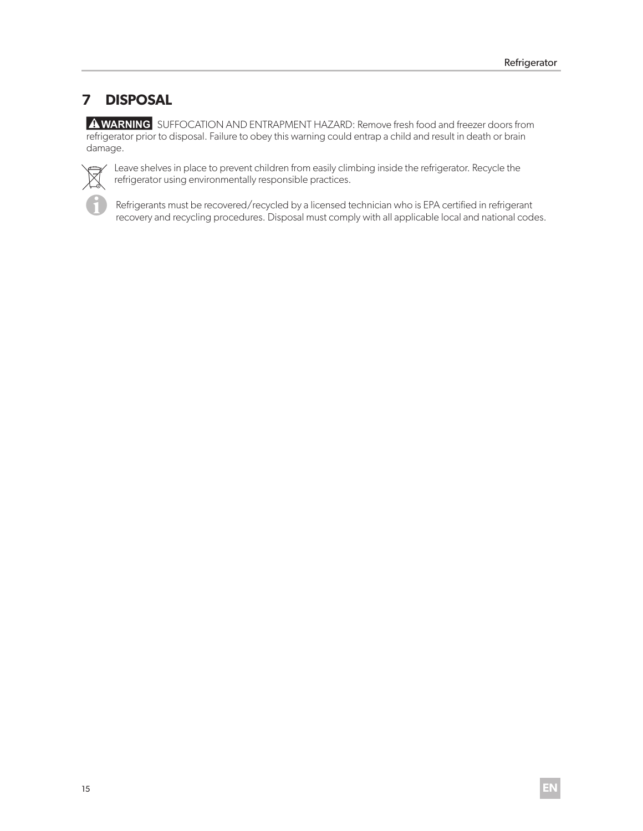### **7 DISPOSAL**

 refrigerator prior to disposal. Failure to obey this warning could entrap a child and result in death or brain A WARNING SUFFOCATION AND ENTRAPMENT HAZARD: Remove fresh food and freezer doors from damage.



Leave shelves in place to prevent children from easily climbing inside the refrigerator. Recycle the refrigerator using environmentally responsible practices.

Refrigerants must be recovered/recycled by a licensed technician who is EPA certified in refrigerant recovery and recycling procedures. Disposal must comply with all applicable local and national codes.